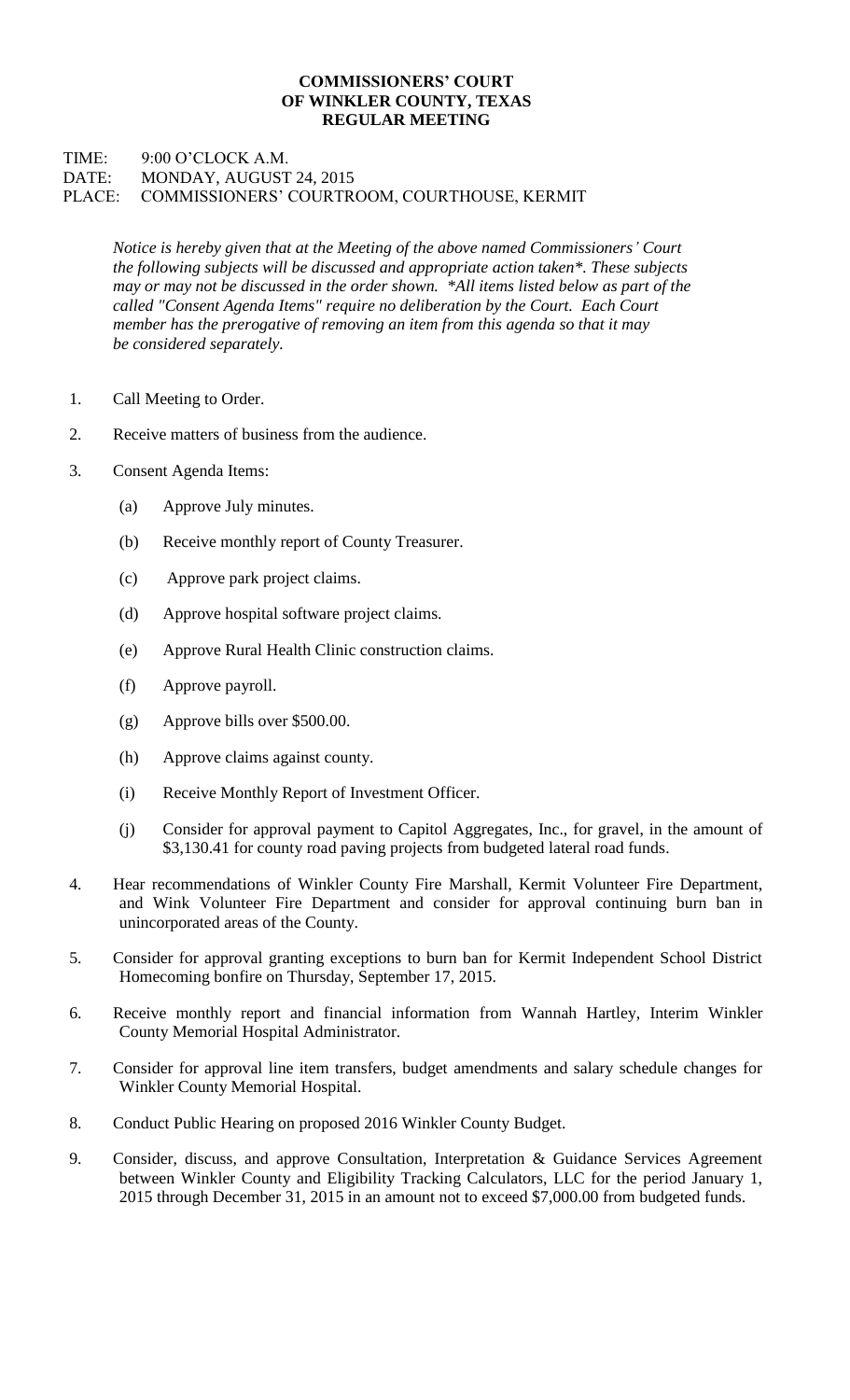## **COMMISSIONERS' COURT OF WINKLER COUNTY, TEXAS REGULAR MEETING**

## TIME: 9:00 O'CLOCK A.M. DATE: MONDAY, AUGUST 24, 2015 PLACE: COMMISSIONERS' COURTROOM, COURTHOUSE, KERMIT

*Notice is hereby given that at the Meeting of the above named Commissioners' Court the following subjects will be discussed and appropriate action taken\*. These subjects may or may not be discussed in the order shown. \*All items listed below as part of the called "Consent Agenda Items" require no deliberation by the Court. Each Court member has the prerogative of removing an item from this agenda so that it may be considered separately.*

- 1. Call Meeting to Order.
- 2. Receive matters of business from the audience.
- 3. Consent Agenda Items:
	- (a) Approve July minutes.
	- (b) Receive monthly report of County Treasurer.
	- (c) Approve park project claims.
	- (d) Approve hospital software project claims.
	- (e) Approve Rural Health Clinic construction claims.
	- (f) Approve payroll.
	- (g) Approve bills over \$500.00.
	- (h) Approve claims against county.
	- (i) Receive Monthly Report of Investment Officer.
	- (j) Consider for approval payment to Capitol Aggregates, Inc., for gravel, in the amount of \$3,130.41 for county road paving projects from budgeted lateral road funds.
- 4. Hear recommendations of Winkler County Fire Marshall, Kermit Volunteer Fire Department, and Wink Volunteer Fire Department and consider for approval continuing burn ban in unincorporated areas of the County.
- 5. Consider for approval granting exceptions to burn ban for Kermit Independent School District Homecoming bonfire on Thursday, September 17, 2015.
- 6. Receive monthly report and financial information from Wannah Hartley, Interim Winkler County Memorial Hospital Administrator.
- 7. Consider for approval line item transfers, budget amendments and salary schedule changes for Winkler County Memorial Hospital.
- 8. Conduct Public Hearing on proposed 2016 Winkler County Budget.
- 9. Consider, discuss, and approve Consultation, Interpretation & Guidance Services Agreement between Winkler County and Eligibility Tracking Calculators, LLC for the period January 1, 2015 through December 31, 2015 in an amount not to exceed \$7,000.00 from budgeted funds.